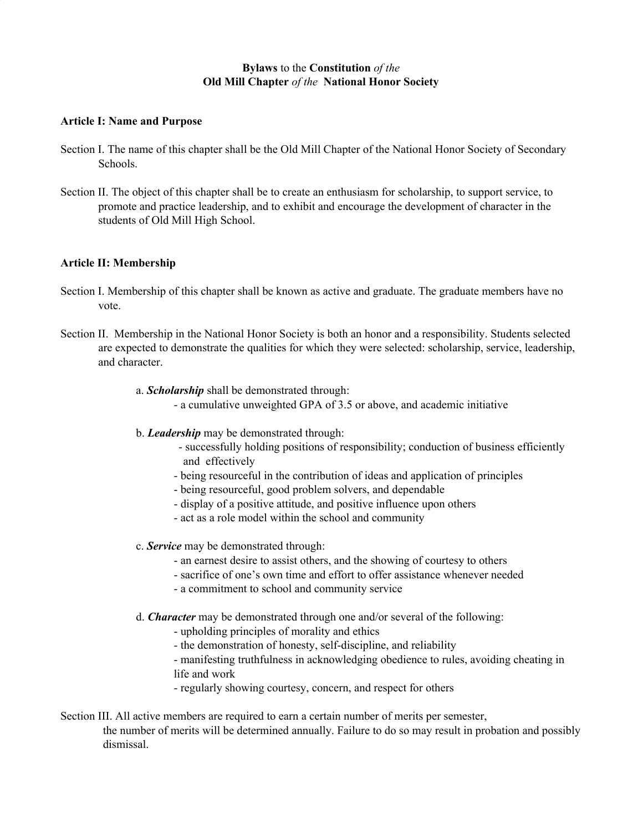### **Bylaws** to the **Constitution** *of the* **Old Mill Chapter** *of the* **National Honor Society**

#### **Article I: Name and Purpose**

- Section I. The name of this chapter shall be the Old Mill Chapter of the National Honor Society of Secondary Schools.
- Section II. The object of this chapter shall be to create an enthusiasm for scholarship, to support service, to promote and practice leadership, and to exhibit and encourage the development of character in the students of Old Mill High School.

### **Article II: Membership**

- Section I. Membership of this chapter shall be known as active and graduate. The graduate members have no vote.
- Section II. Membership in the National Honor Society is both an honor and a responsibility. Students selected are expected to demonstrate the qualities for which they were selected: scholarship, service, leadership, and character.
	- a. *Scholarship* shall be demonstrated through:
		- a cumulative unweighted GPA of 3.5 or above, and academic initiative
	- b. *Leadership* may be demonstrated through:
		- successfully holding positions of responsibility; conduction of business efficiently and effectively
		- being resourceful in the contribution of ideas and application of principles
		- being resourceful, good problem solvers, and dependable
		- display of a positive attitude, and positive influence upon others
		- act as a role model within the school and community
	- c. *Service* may be demonstrated through:
		- an earnest desire to assist others, and the showing of courtesy to others
		- sacrifice of one's own time and effort to offer assistance whenever needed
		- a commitment to school and community service
	- d. *Character* may be demonstrated through one and/or several of the following:
		- upholding principles of morality and ethics
		- the demonstration of honesty, self-discipline, and reliability
		- manifesting truthfulness in acknowledging obedience to rules, avoiding cheating in life and work
		- regularly showing courtesy, concern, and respect for others

Section III. All active members are required to earn a certain number of merits per semester, the number of merits will be determined annually. Failure to do so may result in probation and possibly dismissal.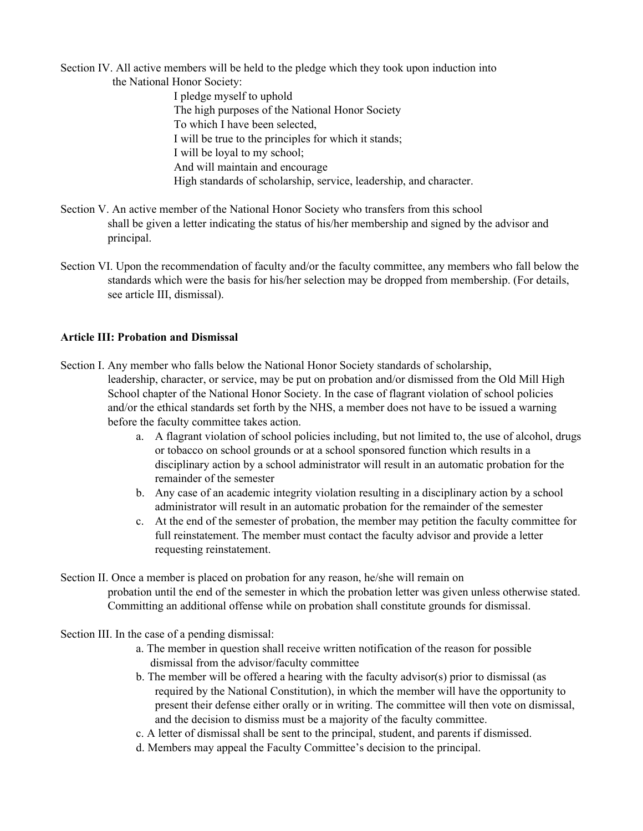Section IV. All active members will be held to the pledge which they took upon induction into

the National Honor Society: I pledge myself to uphold The high purposes of the National Honor Society To which I have been selected, I will be true to the principles for which it stands; I will be loyal to my school; And will maintain and encourage High standards of scholarship, service, leadership, and character.

- Section V. An active member of the National Honor Society who transfers from this school shall be given a letter indicating the status of his/her membership and signed by the advisor and principal.
- Section VI. Upon the recommendation of faculty and/or the faculty committee, any members who fall below the standards which were the basis for his/her selection may be dropped from membership. (For details, see article III, dismissal).

### **Article III: Probation and Dismissal**

Section I. Any member who falls below the National Honor Society standards of scholarship, leadership, character, or service, may be put on probation and/or dismissed from the Old Mill High School chapter of the National Honor Society. In the case of flagrant violation of school policies and/or the ethical standards set forth by the NHS, a member does not have to be issued a warning before the faculty committee takes action.

- a. A flagrant violation of school policies including, but not limited to, the use of alcohol, drugs or tobacco on school grounds or at a school sponsored function which results in a disciplinary action by a school administrator will result in an automatic probation for the remainder of the semester
- b. Any case of an academic integrity violation resulting in a disciplinary action by a school administrator will result in an automatic probation for the remainder of the semester
- c. At the end of the semester of probation, the member may petition the faculty committee for full reinstatement. The member must contact the faculty advisor and provide a letter requesting reinstatement.

Section II. Once a member is placed on probation for any reason, he/she will remain on probation until the end of the semester in which the probation letter was given unless otherwise stated. Committing an additional offense while on probation shall constitute grounds for dismissal.

Section III. In the case of a pending dismissal:

- a. The member in question shall receive written notification of the reason for possible dismissal from the advisor/faculty committee
- b. The member will be offered a hearing with the faculty advisor(s) prior to dismissal (as required by the National Constitution), in which the member will have the opportunity to present their defense either orally or in writing. The committee will then vote on dismissal, and the decision to dismiss must be a majority of the faculty committee.
- c. A letter of dismissal shall be sent to the principal, student, and parents if dismissed.
- d. Members may appeal the Faculty Committee's decision to the principal.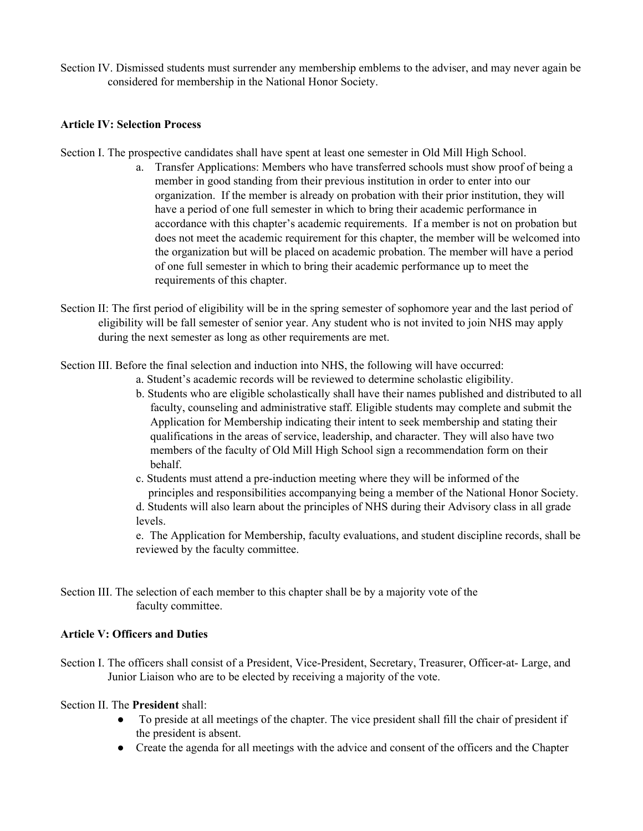Section IV. Dismissed students must surrender any membership emblems to the adviser, and may never again be considered for membership in the National Honor Society.

#### **Article IV: Selection Process**

Section I. The prospective candidates shall have spent at least one semester in Old Mill High School.

- a. Transfer Applications: Members who have transferred schools must show proof of being a member in good standing from their previous institution in order to enter into our organization. If the member is already on probation with their prior institution, they will have a period of one full semester in which to bring their academic performance in accordance with this chapter's academic requirements. If a member is not on probation but does not meet the academic requirement for this chapter, the member will be welcomed into the organization but will be placed on academic probation. The member will have a period of one full semester in which to bring their academic performance up to meet the requirements of this chapter.
- Section II: The first period of eligibility will be in the spring semester of sophomore year and the last period of eligibility will be fall semester of senior year. Any student who is not invited to join NHS may apply during the next semester as long as other requirements are met.

Section III. Before the final selection and induction into NHS, the following will have occurred:

- a. Student's academic records will be reviewed to determine scholastic eligibility.
- b. Students who are eligible scholastically shall have their names published and distributed to all faculty, counseling and administrative staff. Eligible students may complete and submit the Application for Membership indicating their intent to seek membership and stating their qualifications in the areas of service, leadership, and character. They will also have two members of the faculty of Old Mill High School sign a recommendation form on their behalf.
- c. Students must attend a pre-induction meeting where they will be informed of the principles and responsibilities accompanying being a member of the National Honor Society.
- d. Students will also learn about the principles of NHS during their Advisory class in all grade levels.

e. The Application for Membership, faculty evaluations, and student discipline records, shall be reviewed by the faculty committee.

Section III. The selection of each member to this chapter shall be by a majority vote of the faculty committee.

### **Article V: Officers and Duties**

Section I. The officers shall consist of a President, Vice-President, Secretary, Treasurer, Officer-at- Large, and Junior Liaison who are to be elected by receiving a majority of the vote.

Section II. The **President** shall:

- To preside at all meetings of the chapter. The vice president shall fill the chair of president if the president is absent.
- Create the agenda for all meetings with the advice and consent of the officers and the Chapter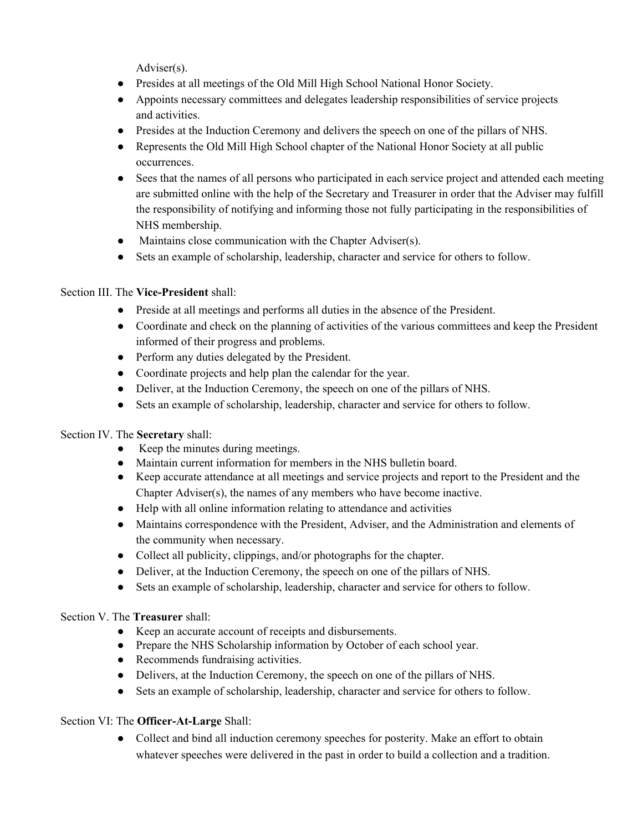Adviser(s).

- Presides at all meetings of the Old Mill High School National Honor Society.
- Appoints necessary committees and delegates leadership responsibilities of service projects and activities.
- Presides at the Induction Ceremony and delivers the speech on one of the pillars of NHS.
- Represents the Old Mill High School chapter of the National Honor Society at all public occurrences.
- Sees that the names of all persons who participated in each service project and attended each meeting are submitted online with the help of the Secretary and Treasurer in order that the Adviser may fulfill the responsibility of notifying and informing those not fully participating in the responsibilities of NHS membership.
- Maintains close communication with the Chapter Adviser(s).
- Sets an example of scholarship, leadership, character and service for others to follow.

# Section III. The **Vice-President** shall:

- Preside at all meetings and performs all duties in the absence of the President.
- Coordinate and check on the planning of activities of the various committees and keep the President informed of their progress and problems.
- Perform any duties delegated by the President.
- Coordinate projects and help plan the calendar for the year.
- Deliver, at the Induction Ceremony, the speech on one of the pillars of NHS.
- Sets an example of scholarship, leadership, character and service for others to follow.

# Section IV. The **Secretary** shall:

- Keep the minutes during meetings.
- Maintain current information for members in the NHS bulletin board.
- Keep accurate attendance at all meetings and service projects and report to the President and the Chapter Adviser(s), the names of any members who have become inactive.
- Help with all online information relating to attendance and activities
- Maintains correspondence with the President, Adviser, and the Administration and elements of the community when necessary.
- Collect all publicity, clippings, and/or photographs for the chapter.
- Deliver, at the Induction Ceremony, the speech on one of the pillars of NHS.
- Sets an example of scholarship, leadership, character and service for others to follow.

# Section V. The **Treasurer** shall:

- Keep an accurate account of receipts and disbursements.
- Prepare the NHS Scholarship information by October of each school year.
- Recommends fundraising activities.
- Delivers, at the Induction Ceremony, the speech on one of the pillars of NHS.
- Sets an example of scholarship, leadership, character and service for others to follow.

# Section VI: The **Officer-At-Large** Shall:

● Collect and bind all induction ceremony speeches for posterity. Make an effort to obtain whatever speeches were delivered in the past in order to build a collection and a tradition.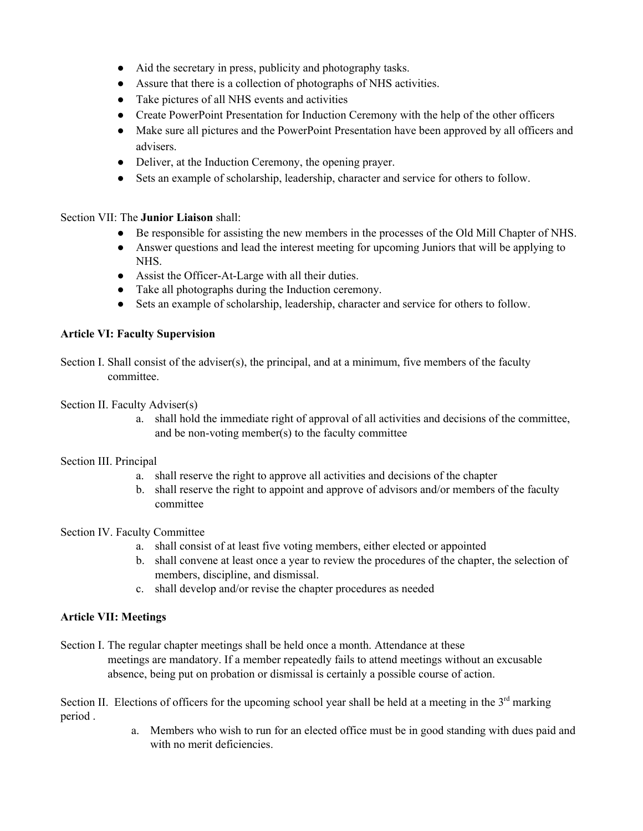- Aid the secretary in press, publicity and photography tasks.
- Assure that there is a collection of photographs of NHS activities.
- Take pictures of all NHS events and activities
- Create PowerPoint Presentation for Induction Ceremony with the help of the other officers
- Make sure all pictures and the PowerPoint Presentation have been approved by all officers and advisers.
- Deliver, at the Induction Ceremony, the opening prayer.
- Sets an example of scholarship, leadership, character and service for others to follow.

### Section VII: The **Junior Liaison** shall:

- Be responsible for assisting the new members in the processes of the Old Mill Chapter of NHS.
- Answer questions and lead the interest meeting for upcoming Juniors that will be applying to NHS.
- Assist the Officer-At-Large with all their duties.
- Take all photographs during the Induction ceremony.
- Sets an example of scholarship, leadership, character and service for others to follow.

### **Article VI: Faculty Supervision**

Section I. Shall consist of the adviser(s), the principal, and at a minimum, five members of the faculty committee.

Section II. Faculty Adviser(s)

a. shall hold the immediate right of approval of all activities and decisions of the committee, and be non-voting member(s) to the faculty committee

### Section III. Principal

- a. shall reserve the right to approve all activities and decisions of the chapter
- b. shall reserve the right to appoint and approve of advisors and/or members of the faculty committee

### Section IV. Faculty Committee

- a. shall consist of at least five voting members, either elected or appointed
- b. shall convene at least once a year to review the procedures of the chapter, the selection of members, discipline, and dismissal.
- c. shall develop and/or revise the chapter procedures as needed

### **Article VII: Meetings**

Section I. The regular chapter meetings shall be held once a month. Attendance at these meetings are mandatory. If a member repeatedly fails to attend meetings without an excusable absence, being put on probation or dismissal is certainly a possible course of action.

Section II. Elections of officers for the upcoming school year shall be held at a meeting in the  $3<sup>rd</sup>$  marking period .

> a. Members who wish to run for an elected office must be in good standing with dues paid and with no merit deficiencies.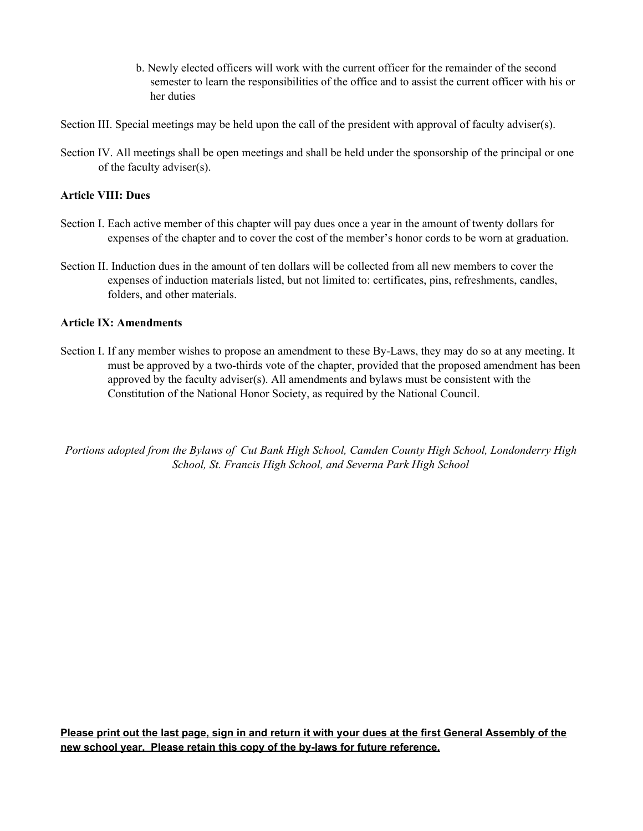b. Newly elected officers will work with the current officer for the remainder of the second semester to learn the responsibilities of the office and to assist the current officer with his or her duties

Section III. Special meetings may be held upon the call of the president with approval of faculty adviser(s).

Section IV. All meetings shall be open meetings and shall be held under the sponsorship of the principal or one of the faculty adviser(s).

#### **Article VIII: Dues**

- Section I. Each active member of this chapter will pay dues once a year in the amount of twenty dollars for expenses of the chapter and to cover the cost of the member's honor cords to be worn at graduation.
- Section II. Induction dues in the amount of ten dollars will be collected from all new members to cover the expenses of induction materials listed, but not limited to: certificates, pins, refreshments, candles, folders, and other materials.

#### **Article IX: Amendments**

Section I. If any member wishes to propose an amendment to these By-Laws, they may do so at any meeting. It must be approved by a two-thirds vote of the chapter, provided that the proposed amendment has been approved by the faculty adviser(s). All amendments and bylaws must be consistent with the Constitution of the National Honor Society, as required by the National Council.

*Portions adopted from the Bylaws of Cut Bank High School, Camden County High School, Londonderry High School, St. Francis High School, and Severna Park High School*

Please print out the last page, sign in and return it with your dues at the first General Assembly of the **new school year. Please retain this copy of the by-laws for future reference.**